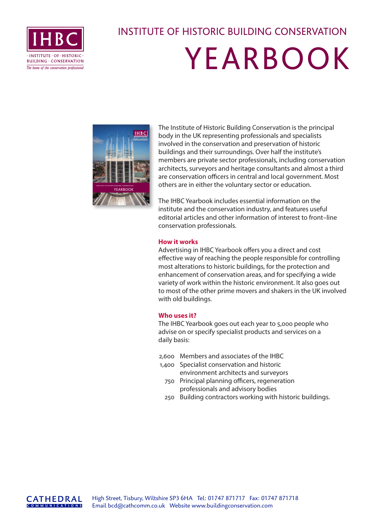

## INSTITUTE OF HISTORIC BUILDING CONSERVATION

## YEARBOOK



The Institute of Historic Building Conservation is the principal body in the UK representing professionals and specialists involved in the conservation and preservation of historic buildings and their surroundings. Over half the institute's members are private sector professionals, including conservation architects, surveyors and heritage consultants and almost a third are conservation officers in central and local government. Most others are in either the voluntary sector or education.

The IHBC Yearbook includes essential information on the institute and the conservation industry, and features useful editorial articles and other information of interest to front–line conservation professionals.

### **How it works**

Advertising in IHBC Yearbook offers you a direct and cost effective way of reaching the people responsible for controlling most alterations to historic buildings, for the protection and enhancement of conservation areas, and for specifying a wide variety of work within the historic environment. It also goes out to most of the other prime movers and shakers in the UK involved with old buildings.

#### **Who uses it?**

The IHBC Yearbook goes out each year to 5,000 people who advise on or specify specialist products and services on a daily basis:

- 2,600 Members and associates of the IHBC
- 1,400 Specialist conservation and historic environment architects and surveyors
	- 750 Principal planning officers, regeneration professionals and advisory bodies
	- 250 Building contractors working with historic buildings.